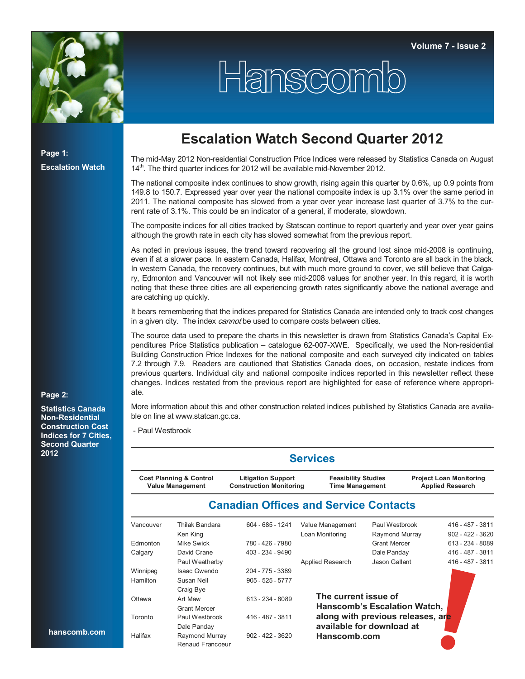

## Hanscomb

**Page 1: Escalation Watch**

## **Escalation Watch Second Quarter 2012**

The mid-May 2012 Non-residential Construction Price Indices were released by Statistics Canada on August 14<sup>th</sup>. The third quarter indices for 2012 will be available mid-November 2012.

The national composite index continues to show growth, rising again this quarter by 0.6%, up 0.9 points from 149.8 to 150.7. Expressed year over year the national composite index is up 3.1% over the same period in 2011. The national composite has slowed from a year over year increase last quarter of 3.7% to the current rate of 3.1%. This could be an indicator of a general, if moderate, slowdown.

The composite indices for all cities tracked by Statscan continue to report quarterly and year over year gains although the growth rate in each city has slowed somewhat from the previous report.

As noted in previous issues, the trend toward recovering all the ground lost since mid-2008 is continuing, even if at a slower pace. In eastern Canada, Halifax, Montreal, Ottawa and Toronto are all back in the black. In western Canada, the recovery continues, but with much more ground to cover, we still believe that Calgary, Edmonton and Vancouver will not likely see mid-2008 values for another year. In this regard, it is worth noting that these three cities are all experiencing growth rates significantly above the national average and are catching up quickly.

It bears remembering that the indices prepared for Statistics Canada are intended only to track cost changes in a given city. The index *cannot* be used to compare costs between cities.

The source data used to prepare the charts in this newsletter is drawn from Statistics Canada's Capital Expenditures Price Statistics publication – catalogue 62-007-XWE. Specifically, we used the Non-residential Building Construction Price Indexes for the national composite and each surveyed city indicated on tables 7.2 through 7.9. Readers are cautioned that Statistics Canada does, on occasion, restate indices from previous quarters. Individual city and national composite indices reported in this newsletter reflect these changes. Indices restated from the previous report are highlighted for ease of reference where appropriate.

**Page 2:** 

**Statistics Canada Non-Residential Construction Cost Indices for 7 Cities, Second Quarter 2012**

More information about this and other construction related indices published by Statistics Canada are available on line at www.statcan.gc.ca.

- Paul Westbrook

|           |                                                               |                                                             | <b>Services</b>                                      |                                                                |                                                           |  |
|-----------|---------------------------------------------------------------|-------------------------------------------------------------|------------------------------------------------------|----------------------------------------------------------------|-----------------------------------------------------------|--|
|           | <b>Cost Planning &amp; Control</b><br><b>Value Management</b> | <b>Litigation Support</b><br><b>Construction Monitoring</b> | <b>Feasibility Studies</b><br><b>Time Management</b> |                                                                | <b>Project Loan Monitoring</b><br><b>Applied Research</b> |  |
|           |                                                               | <b>Canadian Offices and Service Contacts</b>                |                                                      |                                                                |                                                           |  |
| Vancouver | Thilak Bandara<br>Ken King                                    | 604 - 685 - 1241                                            | Value Management<br>Loan Monitoring                  | Paul Westbrook<br>Raymond Murray                               | 416 - 487 - 3811<br>$902 - 422 - 3620$                    |  |
| Edmonton  | Mike Swick                                                    | 780 - 426 - 7980                                            |                                                      | <b>Grant Mercer</b>                                            | 613 - 234 - 8089                                          |  |
| Calgary   | David Crane                                                   | 403 - 234 - 9490                                            |                                                      | Dale Panday                                                    | 416 - 487 - 3811                                          |  |
|           | Paul Weatherby                                                |                                                             | Applied Research                                     | Jason Gallant                                                  | 416 - 487 - 3811                                          |  |
| Winnipeg  | Isaac Gwendo                                                  | 204 - 775 - 3389                                            |                                                      |                                                                |                                                           |  |
| Hamilton  | Susan Neil<br>Craig Bye                                       | $905 - 525 - 5777$                                          |                                                      |                                                                |                                                           |  |
| Ottawa    | Art Maw<br><b>Grant Mercer</b>                                | 613 - 234 - 8089                                            | The current issue of                                 | <b>Hanscomb's Escalation Watch,</b>                            |                                                           |  |
| Toronto   | Paul Westbrook<br>Dale Panday                                 | 416 - 487 - 3811                                            |                                                      | along with previous releases, are<br>available for download at |                                                           |  |
| Halifax   | Raymond Murray<br>Renaud Francoeur                            | $902 - 422 - 3620$                                          | Hanscomb.com                                         |                                                                |                                                           |  |